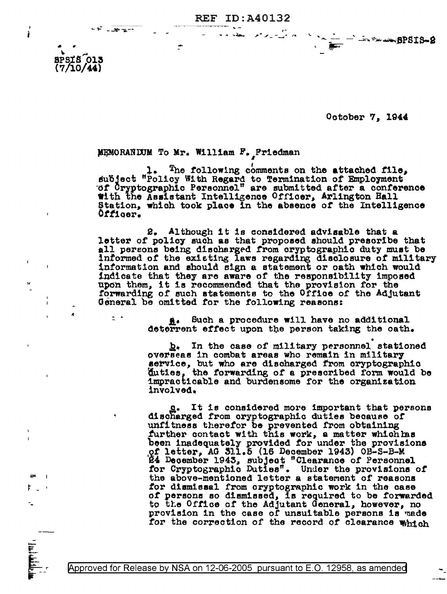**REF ID:A40132** 

October 7, 1944

 $-1 - 8$ PSIS-2

## MEMORANDUM To Mr. William F. Friedman

 $-30 - 5 = 1$ 

 $2 - 5$ 

 $8$  $P$  $S$  $T$  $S$  $O$  $13$  $(7/10/44)$ 

ł

The following comments on the attached file, subject "Policy With Regard to Termination of Employment"<br>"of Cryptographic Personnel" are submitted after a conference with the Assistant Intelligence Officer, Arlington Hall Station, which took place in the absence of the Intelligence Officer.

2. Although it is considered advisable that a letter of policy such as that proposed should prescribe that<br>all persons being discharged from cryptographic duty must be informed of the existing laws regarding disclosure of military information and should sign a statement or oath which would indicate that they are aware of the responsibility imposed upon them, it is recommended that the provision for the forwarding of such statements to the Office of the Adjutant General be omitted for the following reasons:

> Such a procedure will have no additional <u>a</u>. deterrent effect upon the person taking the oath.

b. In the case of military personnel stationed overseas in combat areas who remain in military service, but who are discharged from oryptographic<br>duties, the forwarding of a prescribed form would be<br>impracticable and burdensome for the organization involved.

g. It is considered more important that persons discharged from cryptographic duties because of unfitness therefor be prevented from obtaining further contact with this work, a matter which has been inadequately provided for under the provisions of letter, AG 511.5 (16 December 1943) OB-S-B-M 24 December 1943, subject "Clearance of Personnel for Cryptographic Duties". Under the provisions of the above-mentioned letter a statement of reasons for dismissal from cryptographic work in the case of persons so dismissed, is required to be forwarded to the Office of the Adjutant General, however, no provision in the case of unsuitable persons is made for the correction of the record of clearance which